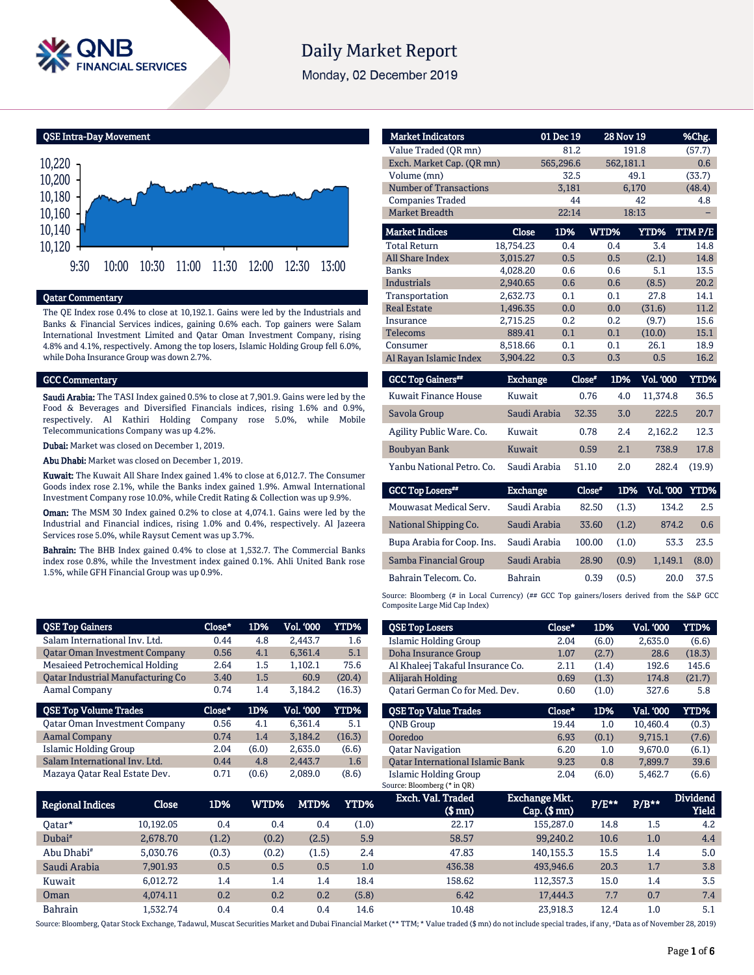

# **Daily Market Report**

Monday, 02 December 2019

QSE Intra-Day Movement



### Qatar Commentary

The QE Index rose 0.4% to close at 10,192.1. Gains were led by the Industrials and Banks & Financial Services indices, gaining 0.6% each. Top gainers were Salam International Investment Limited and Qatar Oman Investment Company, rising 4.8% and 4.1%, respectively. Among the top losers, Islamic Holding Group fell 6.0%, while Doha Insurance Group was down 2.7%.

#### GCC Commentary

Saudi Arabia: The TASI Index gained 0.5% to close at 7,901.9. Gains were led by the Food & Beverages and Diversified Financials indices, rising 1.6% and 0.9%, respectively. Al Kathiri Holding Company rose 5.0%, while Mobile Telecommunications Company was up 4.2%.

Dubai: Market was closed on December 1, 2019.

Abu Dhabi: Market was closed on December 1, 2019.

Kuwait: The Kuwait All Share Index gained 1.4% to close at 6,012.7. The Consumer Goods index rose 2.1%, while the Banks index gained 1.9%. Amwal International Investment Company rose 10.0%, while Credit Rating & Collection was up 9.9%.

Oman: The MSM 30 Index gained 0.2% to close at 4,074.1. Gains were led by the Industrial and Financial indices, rising 1.0% and 0.4%, respectively. Al Jazeera Services rose 5.0%, while Raysut Cement was up 3.7%.

Bahrain: The BHB Index gained 0.4% to close at 1,532.7. The Commercial Banks index rose 0.8%, while the Investment index gained 0.1%. Ahli United Bank rose 1.5%, while GFH Financial Group was up 0.9%.

| <b>QSE Top Gainers</b>                   | Close* | 1D%   | <b>Vol. '000</b> | <b>YTD%</b> |
|------------------------------------------|--------|-------|------------------|-------------|
| Salam International Inv. Ltd.            | 0.44   | 4.8   | 2,443.7          | 1.6         |
| <b>Qatar Oman Investment Company</b>     | 0.56   | 4.1   | 6,361.4          | 5.1         |
| <b>Mesaieed Petrochemical Holding</b>    | 2.64   | 1.5   | 1,102.1          | 75.6        |
| <b>Qatar Industrial Manufacturing Co</b> | 3.40   | 1.5   | 60.9             | (20.4)      |
| Aamal Company                            | 0.74   | 1.4   | 3,184.2          | (16.3)      |
|                                          |        |       |                  |             |
| <b>QSE Top Volume Trades</b>             | Close* | 1D%   | <b>Vol. '000</b> | YTD%        |
| <b>Qatar Oman Investment Company</b>     | 0.56   | 4.1   | 6.361.4          | 5.1         |
| <b>Aamal Company</b>                     | 0.74   | 1.4   | 3,184.2          | (16.3)      |
| <b>Islamic Holding Group</b>             | 2.04   | (6.0) | 2,635.0          | (6.6)       |
| Salam International Inv. Ltd.            | 0.44   | 4.8   | 2,443.7          | 1.6         |

| <b>Market Indicators</b>    |                 | 01 Dec 19 | <b>28 Nov 19</b> |                  | %Chg.       |
|-----------------------------|-----------------|-----------|------------------|------------------|-------------|
| Value Traded (OR mn)        |                 | 81.2      |                  | 191.8            | (57.7)      |
| Exch. Market Cap. (QR mn)   |                 | 565,296.6 | 562,181.1        |                  | 0.6         |
| Volume (mn)                 |                 | 32.5      |                  | 49.1             | (33.7)      |
| Number of Transactions      |                 | 3,181     |                  | 6,170            | (48.4)      |
| <b>Companies Traded</b>     |                 | 44        |                  | 42               | 4.8         |
| <b>Market Breadth</b>       |                 | 22:14     |                  | 18:13            |             |
| <b>Market Indices</b>       | <b>Close</b>    | 1D%       | WTD%             | <b>YTD%</b>      | TTMP/E      |
| <b>Total Return</b>         | 18.754.23       | 0.4       | 0.4              | 3.4              | 14.8        |
| <b>All Share Index</b>      | 3.015.27        | 0.5       | 0.5              | (2.1)            | 14.8        |
| <b>Banks</b>                | 4,028.20        | 0.6       | 0.6              | 5.1              | 13.5        |
| <b>Industrials</b>          | 2.940.65        | 0.6       | 0.6              | (8.5)            | 20.2        |
| Transportation              | 2,632.73        | 0.1       | 0.1              | 27.8             | 14.1        |
| <b>Real Estate</b>          | 1,496.35        | 0.0       | 0.0              | (31.6)           | 11.2        |
| Insurance                   | 2,715.25        | 0.2       | 0.2              | (9.7)            | 15.6        |
| <b>Telecoms</b>             | 889.41          | 0.1       | 0.1              | (10.0)           | 15.1        |
| Consumer                    | 8,518.66        | 0.1       | 0.1              | 26.1             | 18.9        |
| Al Rayan Islamic Index      | 3,904.22        | 0.3       | 0.3              | 0.5              | 16.2        |
| <b>GCC Top Gainers**</b>    | <b>Exchange</b> |           | Close"<br>1D%    | <b>Vol. '000</b> | <b>YTD%</b> |
| <b>Kuwait Finance House</b> | Kuwait          |           | 0.76<br>4.0      | 11,374.8         | 36.5        |

| Kuwait Finance House      | Kuwait       | 0.76  | 4.0 | 11.374.8 | 36.5   |
|---------------------------|--------------|-------|-----|----------|--------|
| Savola Group              | Saudi Arabia | 32.35 | 3.0 | 222.5    | 20.7   |
| Agility Public Ware. Co.  | Kuwait       | 0.78  | 2.4 | 2.162.2  | 12.3   |
| Boubyan Bank              | Kuwait       | 0.59  | 2.1 | 738.9    | 17.8   |
| Yanbu National Petro. Co. | Saudi Arabia | 51.10 | 2.0 | 282.4    | (19.9) |

| <b>GCC Top Losers</b>      | <b>Exchange</b> | Close* | 1D%   | <b>Vol. '000 YTD%</b> |       |
|----------------------------|-----------------|--------|-------|-----------------------|-------|
| Mouwasat Medical Serv.     | Saudi Arabia    | 82.50  | (1.3) | 134.2                 | 2.5   |
| National Shipping Co.      | Saudi Arabia    | 33.60  | (1.2) | 874.2                 | 0.6   |
| Bupa Arabia for Coop. Ins. | Saudi Arabia    | 100.00 | (1.0) | 53.3                  | 23.5  |
| Samba Financial Group      | Saudi Arabia    | 28.90  | (0.9) | 1.149.1               | (8.0) |
| Bahrain Telecom, Co.       | <b>Bahrain</b>  | 0.39   | (0.5) | 20.0                  | 37.5  |

Source: Bloomberg (# in Local Currency) (## GCC Top gainers/losers derived from the S&P GCC Composite Large Mid Cap Index)

| <b>QSE Top Losers</b>                   | Close* | 1D%   | <b>Vol. '000</b> | YTD%   |
|-----------------------------------------|--------|-------|------------------|--------|
| Islamic Holding Group                   | 2.04   | (6.0) | 2.635.0          | (6.6)  |
| Doha Insurance Group                    | 1.07   | (2.7) | 28.6             | (18.3) |
| Al Khaleej Takaful Insurance Co.        | 2.11   | (1.4) | 192.6            | 145.6  |
| Alijarah Holding                        | 0.69   | (1.3) | 174.8            | (21.7) |
| Oatari German Co for Med. Dev.          | 0.60   | (1.0) | 327.6            | 5.8    |
|                                         |        |       |                  |        |
|                                         |        |       |                  |        |
| <b>OSE Top Value Trades</b>             | Close* | 1D%   | Val. '000        | YTD%   |
| <b>ONB</b> Group                        | 19.44  | 1.0   | 10.460.4         | (0.3)  |
| Ooredoo                                 | 6.93   | (0.1) | 9.715.1          | (7.6)  |
| <b>Oatar Navigation</b>                 | 6.20   | 1.0   | 9.670.0          | (6.1)  |
| <b>Qatar International Islamic Bank</b> | 9.23   | 0.8   | 7,899.7          | 39.6   |

| <b>Regional Indices</b> | <b>Close</b> | 1D%   | WTD%  | MTD%  | YTD%  | Exch. Val. Traded<br>$$$ mn $)$ | Exchange Mkt.<br>$Cap.$ ( $$rm)$ ) | $P/E***$ | $P/B***$ | <b>Dividend</b><br><b>Yield</b> |
|-------------------------|--------------|-------|-------|-------|-------|---------------------------------|------------------------------------|----------|----------|---------------------------------|
| Oatar*                  | 10.192.05    | 0.4   | 0.4   | 0.4   | (1.0) | 22.17                           | 155,287.0                          | 14.8     | 1.5      | 4.2                             |
| Dubai <sup>#</sup>      | 2.678.70     | (1.2) | (0.2) | (2.5) | 5.9   | 58.57                           | 99.240.2                           | 10.6     | 1.0      | 4.4                             |
| Abu Dhabi <sup>#</sup>  | 5.030.76     | (0.3) | (0.2) | (1.5) | 2.4   | 47.83                           | 140.155.3                          | 15.5     | 1.4      | 5.0                             |
| Saudi Arabia            | 7,901.93     | 0.5   | 0.5   | 0.5   | 1.0   | 436.38                          | 493.946.6                          | 20.3     | 1.7      | 3.8                             |
| Kuwait                  | 6.012.72     | 1.4   | 1.4   | 1.4   | 18.4  | 158.62                          | 112.357.3                          | 15.0     | 1.4      | 3.5                             |
| Oman                    | 4.074.11     | 0.2   | 0.2   | 0.2   | (5.8) | 6.42                            | 17.444.3                           | 7.7      | 0.7      | 7.4                             |
| <b>Bahrain</b>          | 1.532.74     | 0.4   | 0.4   | 0.4   | 14.6  | 10.48                           | 23.918.3                           | 12.4     | 1.0      | 5.1                             |

Source: Bloomberg, Qatar Stock Exchange, Tadawul, Muscat Securities Market and Dubai Financial Market (\*\* TTM; \* Value traded (\$ mn) do not include special trades, if any, #Data as of November 28, 2019)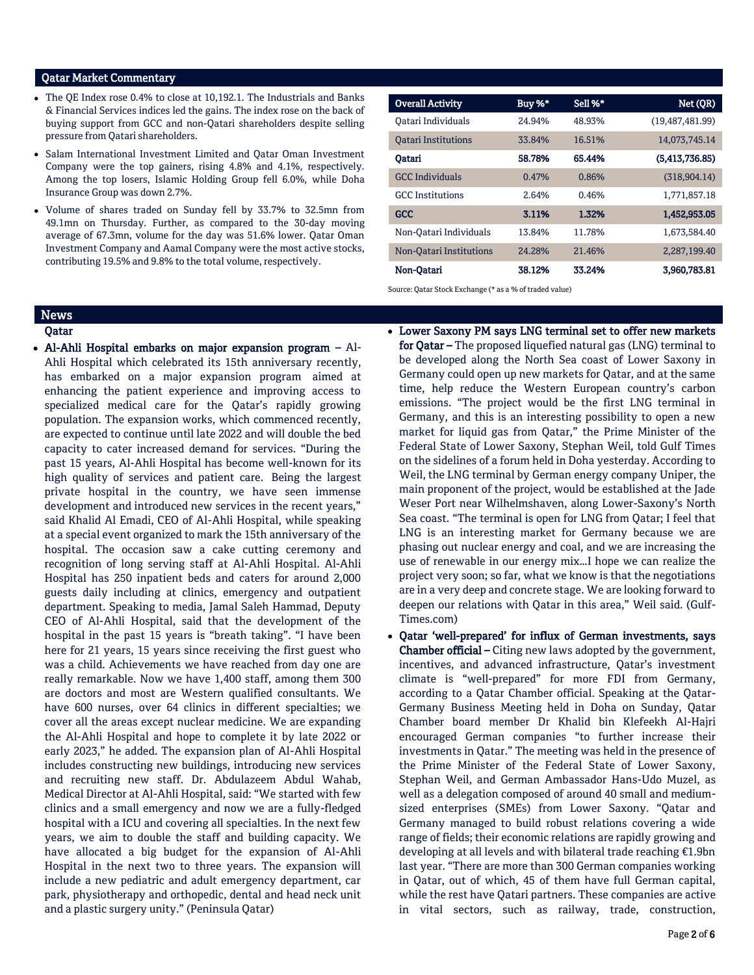# Qatar Market Commentary

- The QE Index rose 0.4% to close at 10,192.1. The Industrials and Banks & Financial Services indices led the gains. The index rose on the back of buying support from GCC and non-Qatari shareholders despite selling pressure from Qatari shareholders.
- Salam International Investment Limited and Qatar Oman Investment Company were the top gainers, rising 4.8% and 4.1%, respectively. Among the top losers, Islamic Holding Group fell 6.0%, while Doha Insurance Group was down 2.7%.
- Volume of shares traded on Sunday fell by 33.7% to 32.5mn from 49.1mn on Thursday. Further, as compared to the 30-day moving average of 67.3mn, volume for the day was 51.6% lower. Qatar Oman Investment Company and Aamal Company were the most active stocks, contributing 19.5% and 9.8% to the total volume, respectively.

| <b>Overall Activity</b>    | Buy $%^*$ | Sell %* | Net (QR)        |
|----------------------------|-----------|---------|-----------------|
| Oatari Individuals         | 24.94%    | 48.93%  | (19.487.481.99) |
| <b>Oatari Institutions</b> | 33.84%    | 16.51%  | 14,073,745.14   |
| Oatari                     | 58.78%    | 65.44%  | (5,413,736.85)  |
| <b>GCC</b> Individuals     | 0.47%     | 0.86%   | (318, 904.14)   |
| <b>GCC</b> Institutions    | 2.64%     | 0.46%   | 1,771,857.18    |
| <b>GCC</b>                 | 3.11%     | 1.32%   | 1,452,953.05    |
| Non-Oatari Individuals     | 13.84%    | 11.78%  | 1,673,584.40    |
| Non-Oatari Institutions    | 24.28%    | 21.46%  | 2,287,199.40    |
| Non-Oatari                 | 38.12%    | 33.24%  | 3,960,783.81    |

Source: Qatar Stock Exchange (\* as a % of traded value)

### News

#### Qatar

- Al-Ahli Hospital embarks on major expansion program Al-Ahli Hospital which celebrated its 15th anniversary recently, has embarked on a major expansion program aimed at enhancing the patient experience and improving access to specialized medical care for the Qatar's rapidly growing population. The expansion works, which commenced recently, are expected to continue until late 2022 and will double the bed capacity to cater increased demand for services. "During the past 15 years, Al-Ahli Hospital has become well-known for its high quality of services and patient care. Being the largest private hospital in the country, we have seen immense development and introduced new services in the recent years," said Khalid Al Emadi, CEO of Al-Ahli Hospital, while speaking at a special event organized to mark the 15th anniversary of the hospital. The occasion saw a cake cutting ceremony and recognition of long serving staff at Al-Ahli Hospital. Al-Ahli Hospital has 250 inpatient beds and caters for around 2,000 guests daily including at clinics, emergency and outpatient department. Speaking to media, Jamal Saleh Hammad, Deputy CEO of Al-Ahli Hospital, said that the development of the hospital in the past 15 years is "breath taking". "I have been here for 21 years, 15 years since receiving the first guest who was a child. Achievements we have reached from day one are really remarkable. Now we have 1,400 staff, among them 300 are doctors and most are Western qualified consultants. We have 600 nurses, over 64 clinics in different specialties; we cover all the areas except nuclear medicine. We are expanding the Al-Ahli Hospital and hope to complete it by late 2022 or early 2023," he added. The expansion plan of Al-Ahli Hospital includes constructing new buildings, introducing new services and recruiting new staff. Dr. Abdulazeem Abdul Wahab, Medical Director at Al-Ahli Hospital, said: "We started with few clinics and a small emergency and now we are a fully-fledged hospital with a ICU and covering all specialties. In the next few years, we aim to double the staff and building capacity. We have allocated a big budget for the expansion of Al-Ahli Hospital in the next two to three years. The expansion will include a new pediatric and adult emergency department, car park, physiotherapy and orthopedic, dental and head neck unit and a plastic surgery unity." (Peninsula Qatar)
- Lower Saxony PM says LNG terminal set to offer new markets for Qatar – The proposed liquefied natural gas (LNG) terminal to be developed along the North Sea coast of Lower Saxony in Germany could open up new markets for Qatar, and at the same time, help reduce the Western European country's carbon emissions. "The project would be the first LNG terminal in Germany, and this is an interesting possibility to open a new market for liquid gas from Qatar," the Prime Minister of the Federal State of Lower Saxony, Stephan Weil, told Gulf Times on the sidelines of a forum held in Doha yesterday. According to Weil, the LNG terminal by German energy company Uniper, the main proponent of the project, would be established at the Jade Weser Port near Wilhelmshaven, along Lower-Saxony's North Sea coast. "The terminal is open for LNG from Qatar; I feel that LNG is an interesting market for Germany because we are phasing out nuclear energy and coal, and we are increasing the use of renewable in our energy mix…I hope we can realize the project very soon; so far, what we know is that the negotiations are in a very deep and concrete stage. We are looking forward to deepen our relations with Qatar in this area," Weil said. (Gulf-Times.com)
- Qatar 'well-prepared' for influx of German investments, says Chamber official – Citing new laws adopted by the government, incentives, and advanced infrastructure, Qatar's investment climate is "well-prepared" for more FDI from Germany, according to a Qatar Chamber official. Speaking at the Qatar-Germany Business Meeting held in Doha on Sunday, Qatar Chamber board member Dr Khalid bin Klefeekh Al-Hajri encouraged German companies "to further increase their investments in Qatar." The meeting was held in the presence of the Prime Minister of the Federal State of Lower Saxony, Stephan Weil, and German Ambassador Hans-Udo Muzel, as well as a delegation composed of around 40 small and mediumsized enterprises (SMEs) from Lower Saxony. "Qatar and Germany managed to build robust relations covering a wide range of fields; their economic relations are rapidly growing and developing at all levels and with bilateral trade reaching €1.9bn last year. "There are more than 300 German companies working in Qatar, out of which, 45 of them have full German capital, while the rest have Qatari partners. These companies are active in vital sectors, such as railway, trade, construction,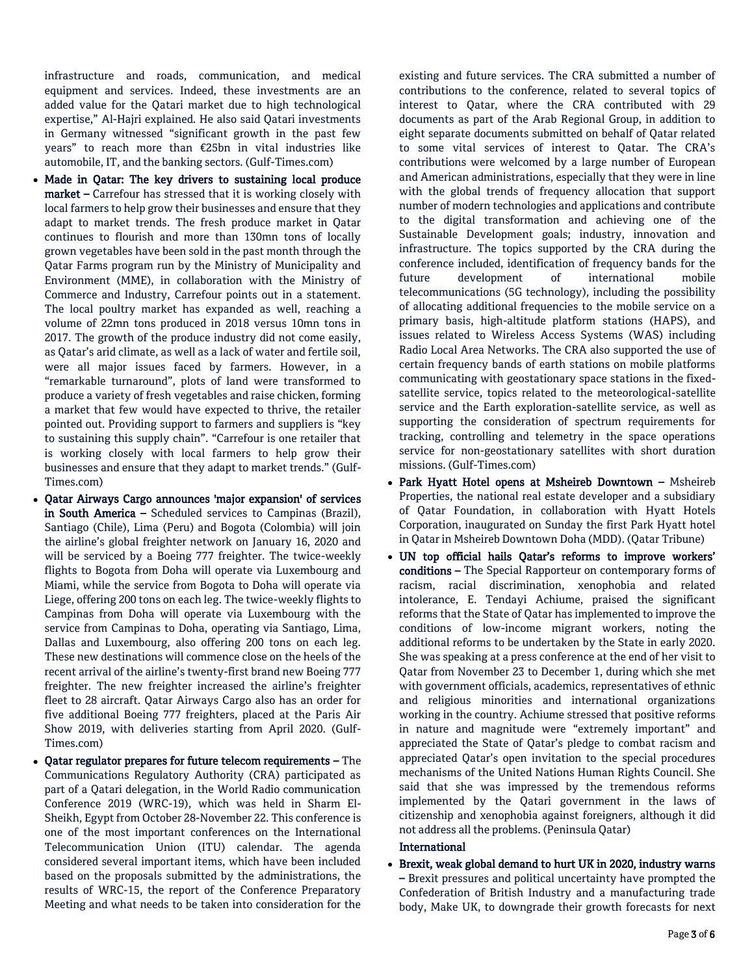infrastructure and roads, communication, and medical equipment and services. Indeed, these investments are an added value for the Qatari market due to high technological expertise," Al-Hajri explained. He also said Qatari investments in Germany witnessed "significant growth in the past few years" to reach more than €25bn in vital industries like automobile, IT, and the banking sectors. (Gulf-Times.com)

- Made in Qatar: The key drivers to sustaining local produce market – Carrefour has stressed that it is working closely with local farmers to help grow their businesses and ensure that they adapt to market trends. The fresh produce market in Qatar continues to flourish and more than 130mn tons of locally grown vegetables have been sold in the past month through the Qatar Farms program run by the Ministry of Municipality and Environment (MME), in collaboration with the Ministry of Commerce and Industry, Carrefour points out in a statement. The local poultry market has expanded as well, reaching a volume of 22mn tons produced in 2018 versus 10mn tons in 2017. The growth of the produce industry did not come easily, as Qatar's arid climate, as well as a lack of water and fertile soil, were all major issues faced by farmers. However, in a "remarkable turnaround", plots of land were transformed to produce a variety of fresh vegetables and raise chicken, forming a market that few would have expected to thrive, the retailer pointed out. Providing support to farmers and suppliers is "key to sustaining this supply chain". "Carrefour is one retailer that is working closely with local farmers to help grow their businesses and ensure that they adapt to market trends." (Gulf-Times.com)
- Qatar Airways Cargo announces 'major expansion' of services in South America – Scheduled services to Campinas (Brazil), Santiago (Chile), Lima (Peru) and Bogota (Colombia) will join the airline's global freighter network on January 16, 2020 and will be serviced by a Boeing 777 freighter. The twice-weekly flights to Bogota from Doha will operate via Luxembourg and Miami, while the service from Bogota to Doha will operate via Liege, offering 200 tons on each leg. The twice-weekly flights to Campinas from Doha will operate via Luxembourg with the service from Campinas to Doha, operating via Santiago, Lima, Dallas and Luxembourg, also offering 200 tons on each leg. These new destinations will commence close on the heels of the recent arrival of the airline's twenty-first brand new Boeing 777 freighter. The new freighter increased the airline's freighter fleet to 28 aircraft. Qatar Airways Cargo also has an order for five additional Boeing 777 freighters, placed at the Paris Air Show 2019, with deliveries starting from April 2020. (Gulf-Times.com)
- Qatar regulator prepares for future telecom requirements The Communications Regulatory Authority (CRA) participated as part of a Qatari delegation, in the World Radio communication Conference 2019 (WRC-19), which was held in Sharm El-Sheikh, Egypt from October 28-November 22. This conference is one of the most important conferences on the International Telecommunication Union (ITU) calendar. The agenda considered several important items, which have been included based on the proposals submitted by the administrations, the results of WRC-15, the report of the Conference Preparatory Meeting and what needs to be taken into consideration for the

existing and future services. The CRA submitted a number of contributions to the conference, related to several topics of interest to Qatar, where the CRA contributed with 29 documents as part of the Arab Regional Group, in addition to eight separate documents submitted on behalf of Qatar related to some vital services of interest to Qatar. The CRA's contributions were welcomed by a large number of European and American administrations, especially that they were in line with the global trends of frequency allocation that support number of modern technologies and applications and contribute to the digital transformation and achieving one of the Sustainable Development goals; industry, innovation and infrastructure. The topics supported by the CRA during the conference included, identification of frequency bands for the future development of international mobile telecommunications (5G technology), including the possibility of allocating additional frequencies to the mobile service on a primary basis, high-altitude platform stations (HAPS), and issues related to Wireless Access Systems (WAS) including Radio Local Area Networks. The CRA also supported the use of certain frequency bands of earth stations on mobile platforms communicating with geostationary space stations in the fixedsatellite service, topics related to the meteorological-satellite service and the Earth exploration-satellite service, as well as supporting the consideration of spectrum requirements for tracking, controlling and telemetry in the space operations service for non-geostationary satellites with short duration missions. (Gulf-Times.com)

- Park Hyatt Hotel opens at Msheireb Downtown Msheireb Properties, the national real estate developer and a subsidiary of Qatar Foundation, in collaboration with Hyatt Hotels Corporation, inaugurated on Sunday the first Park Hyatt hotel in Qatar in Msheireb Downtown Doha (MDD). (Qatar Tribune)
- UN top official hails Qatar's reforms to improve workers' conditions – The Special Rapporteur on contemporary forms of racism, racial discrimination, xenophobia and related intolerance, E. Tendayi Achiume, praised the significant reforms that the State of Qatar has implemented to improve the conditions of low-income migrant workers, noting the additional reforms to be undertaken by the State in early 2020. She was speaking at a press conference at the end of her visit to Qatar from November 23 to December 1, during which she met with government officials, academics, representatives of ethnic and religious minorities and international organizations working in the country. Achiume stressed that positive reforms in nature and magnitude were "extremely important" and appreciated the State of Qatar's pledge to combat racism and appreciated Qatar's open invitation to the special procedures mechanisms of the United Nations Human Rights Council. She said that she was impressed by the tremendous reforms implemented by the Qatari government in the laws of citizenship and xenophobia against foreigners, although it did not address all the problems. (Peninsula Qatar)

# **International**

 Brexit, weak global demand to hurt UK in 2020, industry warns – Brexit pressures and political uncertainty have prompted the Confederation of British Industry and a manufacturing trade body, Make UK, to downgrade their growth forecasts for next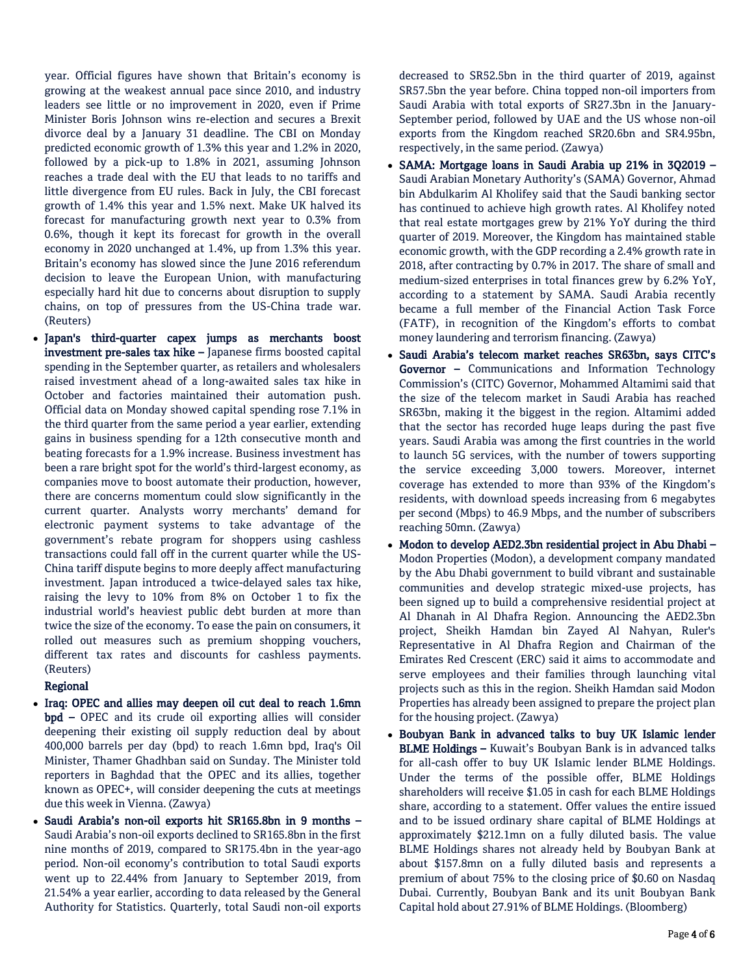year. Official figures have shown that Britain's economy is growing at the weakest annual pace since 2010, and industry leaders see little or no improvement in 2020, even if Prime Minister Boris Johnson wins re-election and secures a Brexit divorce deal by a January 31 deadline. The CBI on Monday predicted economic growth of 1.3% this year and 1.2% in 2020, followed by a pick-up to 1.8% in 2021, assuming Johnson reaches a trade deal with the EU that leads to no tariffs and little divergence from EU rules. Back in July, the CBI forecast growth of 1.4% this year and 1.5% next. Make UK halved its forecast for manufacturing growth next year to 0.3% from 0.6%, though it kept its forecast for growth in the overall economy in 2020 unchanged at 1.4%, up from 1.3% this year. Britain's economy has slowed since the June 2016 referendum decision to leave the European Union, with manufacturing especially hard hit due to concerns about disruption to supply chains, on top of pressures from the US-China trade war. (Reuters)

 Japan's third-quarter capex jumps as merchants boost investment pre-sales tax hike – Japanese firms boosted capital spending in the September quarter, as retailers and wholesalers raised investment ahead of a long-awaited sales tax hike in October and factories maintained their automation push. Official data on Monday showed capital spending rose 7.1% in the third quarter from the same period a year earlier, extending gains in business spending for a 12th consecutive month and beating forecasts for a 1.9% increase. Business investment has been a rare bright spot for the world's third-largest economy, as companies move to boost automate their production, however, there are concerns momentum could slow significantly in the current quarter. Analysts worry merchants' demand for electronic payment systems to take advantage of the government's rebate program for shoppers using cashless transactions could fall off in the current quarter while the US-China tariff dispute begins to more deeply affect manufacturing investment. Japan introduced a twice-delayed sales tax hike, raising the levy to 10% from 8% on October 1 to fix the industrial world's heaviest public debt burden at more than twice the size of the economy. To ease the pain on consumers, it rolled out measures such as premium shopping vouchers, different tax rates and discounts for cashless payments. (Reuters)

# Regional

- Iraq: OPEC and allies may deepen oil cut deal to reach 1.6mn bpd – OPEC and its crude oil exporting allies will consider deepening their existing oil supply reduction deal by about 400,000 barrels per day (bpd) to reach 1.6mn bpd, Iraq's Oil Minister, Thamer Ghadhban said on Sunday. The Minister told reporters in Baghdad that the OPEC and its allies, together known as OPEC+, will consider deepening the cuts at meetings due this week in Vienna. (Zawya)
- Saudi Arabia's non-oil exports hit SR165.8bn in 9 months Saudi Arabia's non-oil exports declined to SR165.8bn in the first nine months of 2019, compared to SR175.4bn in the year-ago period. Non-oil economy's contribution to total Saudi exports went up to 22.44% from January to September 2019, from 21.54% a year earlier, according to data released by the General Authority for Statistics. Quarterly, total Saudi non-oil exports

decreased to SR52.5bn in the third quarter of 2019, against SR57.5bn the year before. China topped non-oil importers from Saudi Arabia with total exports of SR27.3bn in the January-September period, followed by UAE and the US whose non-oil exports from the Kingdom reached SR20.6bn and SR4.95bn, respectively, in the same period. (Zawya)

- SAMA: Mortgage loans in Saudi Arabia up 21% in 3Q2019 Saudi Arabian Monetary Authority's (SAMA) Governor, Ahmad bin Abdulkarim Al Kholifey said that the Saudi banking sector has continued to achieve high growth rates. Al Kholifey noted that real estate mortgages grew by 21% YoY during the third quarter of 2019. Moreover, the Kingdom has maintained stable economic growth, with the GDP recording a 2.4% growth rate in 2018, after contracting by 0.7% in 2017. The share of small and medium-sized enterprises in total finances grew by 6.2% YoY, according to a statement by SAMA. Saudi Arabia recently became a full member of the Financial Action Task Force (FATF), in recognition of the Kingdom's efforts to combat money laundering and terrorism financing. (Zawya)
- Saudi Arabia's telecom market reaches SR63bn, says CITC's Governor – Communications and Information Technology Commission's (CITC) Governor, Mohammed Altamimi said that the size of the telecom market in Saudi Arabia has reached SR63bn, making it the biggest in the region. Altamimi added that the sector has recorded huge leaps during the past five years. Saudi Arabia was among the first countries in the world to launch 5G services, with the number of towers supporting the service exceeding 3,000 towers. Moreover, internet coverage has extended to more than 93% of the Kingdom's residents, with download speeds increasing from 6 megabytes per second (Mbps) to 46.9 Mbps, and the number of subscribers reaching 50mn. (Zawya)
- Modon to develop AED2.3bn residential project in Abu Dhabi Modon Properties (Modon), a development company mandated by the Abu Dhabi government to build vibrant and sustainable communities and develop strategic mixed-use projects, has been signed up to build a comprehensive residential project at Al Dhanah in Al Dhafra Region. Announcing the AED2.3bn project, Sheikh Hamdan bin Zayed Al Nahyan, Ruler's Representative in Al Dhafra Region and Chairman of the Emirates Red Crescent (ERC) said it aims to accommodate and serve employees and their families through launching vital projects such as this in the region. Sheikh Hamdan said Modon Properties has already been assigned to prepare the project plan for the housing project. (Zawya)
- Boubyan Bank in advanced talks to buy UK Islamic lender BLME Holdings – Kuwait's Boubyan Bank is in advanced talks for all-cash offer to buy UK Islamic lender BLME Holdings. Under the terms of the possible offer, BLME Holdings shareholders will receive \$1.05 in cash for each BLME Holdings share, according to a statement. Offer values the entire issued and to be issued ordinary share capital of BLME Holdings at approximately \$212.1mn on a fully diluted basis. The value BLME Holdings shares not already held by Boubyan Bank at about \$157.8mn on a fully diluted basis and represents a premium of about 75% to the closing price of \$0.60 on Nasdaq Dubai. Currently, Boubyan Bank and its unit Boubyan Bank Capital hold about 27.91% of BLME Holdings. (Bloomberg)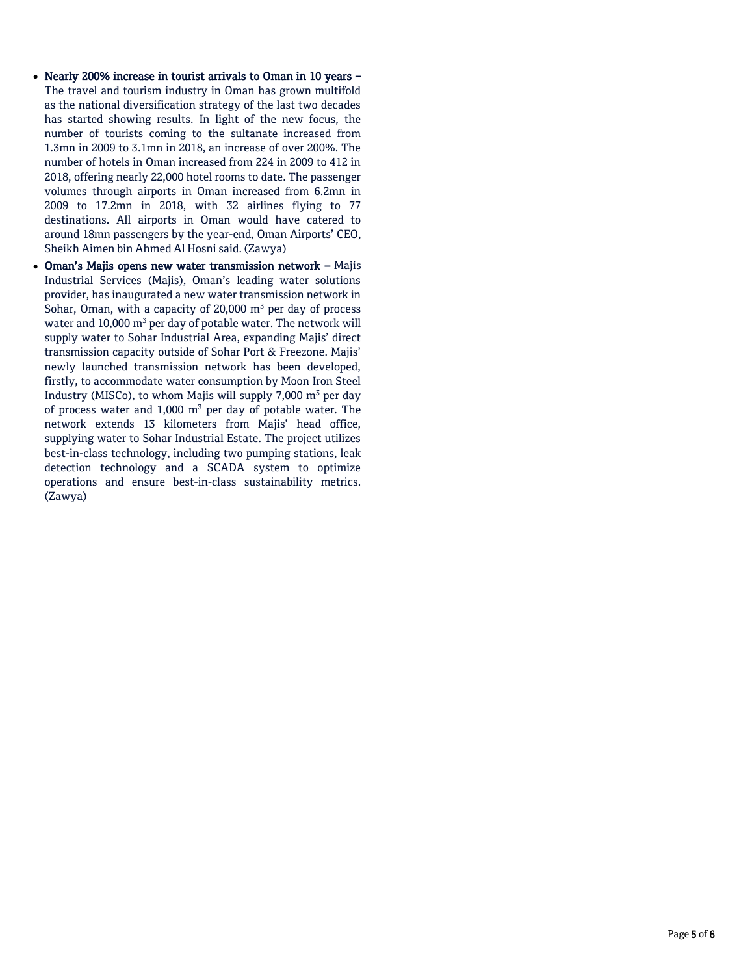- Nearly 200% increase in tourist arrivals to Oman in 10 years The travel and tourism industry in Oman has grown multifold as the national diversification strategy of the last two decades has started showing results. In light of the new focus, the number of tourists coming to the sultanate increased from 1.3mn in 2009 to 3.1mn in 2018, an increase of over 200%. The number of hotels in Oman increased from 224 in 2009 to 412 in 2018, offering nearly 22,000 hotel rooms to date. The passenger volumes through airports in Oman increased from 6.2mn in 2009 to 17.2mn in 2018, with 32 airlines flying to 77 destinations. All airports in Oman would have catered to around 18mn passengers by the year-end, Oman Airports' CEO, Sheikh Aimen bin Ahmed Al Hosni said. (Zawya)
- Oman's Majis opens new water transmission network Majis Industrial Services (Majis), Oman's leading water solutions provider, has inaugurated a new water transmission network in Sohar, Oman, with a capacity of 20,000  $m<sup>3</sup>$  per day of process water and 10,000  $m^3$  per day of potable water. The network will supply water to Sohar Industrial Area, expanding Majis' direct transmission capacity outside of Sohar Port & Freezone. Majis' newly launched transmission network has been developed, firstly, to accommodate water consumption by Moon Iron Steel Industry (MISCo), to whom Majis will supply 7,000  $m^3$  per day of process water and  $1,000$  m<sup>3</sup> per day of potable water. The network extends 13 kilometers from Majis' head office, supplying water to Sohar Industrial Estate. The project utilizes best-in-class technology, including two pumping stations, leak detection technology and a SCADA system to optimize operations and ensure best-in-class sustainability metrics. (Zawya)